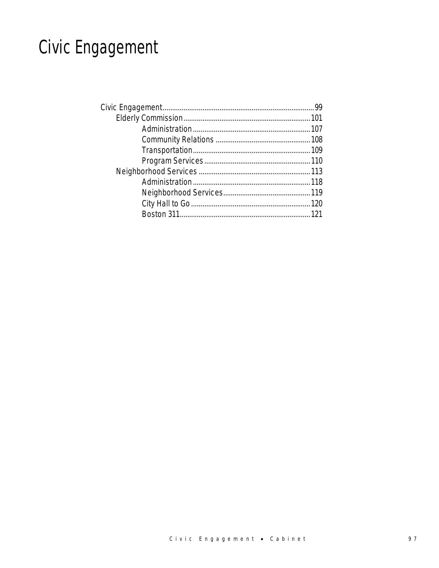# Civic Engagement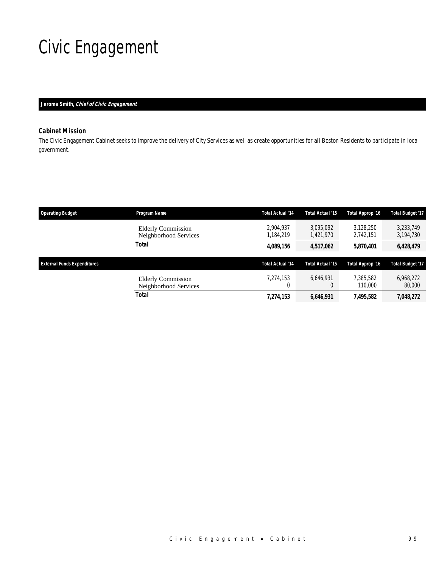# Civic Engagement

## *Jerome Smith, Chief of Civic Engagement*

## *Cabinet Mission*

The Civic Engagement Cabinet seeks to improve the delivery of City Services as well as create opportunities for all Boston Residents to participate in local government.

| <b>Operating Budget</b>            | Program Name                                       | <b>Total Actual '14</b> | <b>Total Actual '15</b> | Total Approp '16       | <b>Total Budget '17</b> |
|------------------------------------|----------------------------------------------------|-------------------------|-------------------------|------------------------|-------------------------|
|                                    | <b>Elderly Commission</b><br>Neighborhood Services | 2.904.937<br>1.184.219  | 3.095.092<br>1.421.970  | 3.128.250<br>2,742,151 | 3.233.749<br>3,194,730  |
|                                    | Total                                              | 4,089,156               | 4,517,062               | 5,870,401              | 6,428,479               |
| <b>External Funds Expenditures</b> |                                                    | <b>Total Actual '14</b> | <b>Total Actual '15</b> | Total Approp '16       | <b>Total Budget '17</b> |
|                                    | <b>Elderly Commission</b><br>Neighborhood Services | 7.274.153               | 6.646.931<br>0          | 7.385.582<br>110,000   | 6,968,272<br>80,000     |
|                                    | <b>Total</b>                                       | 7,274,153               | 6,646,931               | 7.495.582              | 7,048,272               |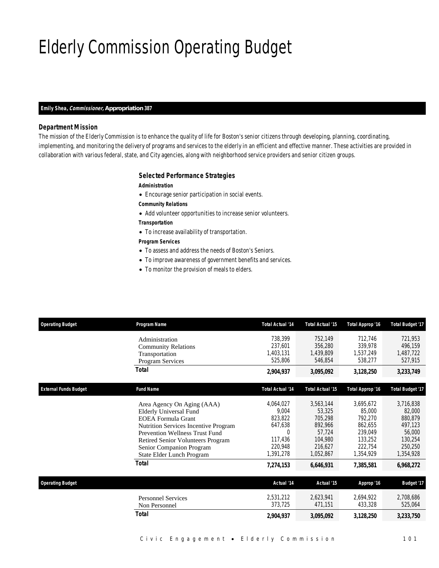# Elderly Commission Operating Budget

### *Emily Shea, Commissioner, Appropriation 387*

## *Department Mission*

The mission of the Elderly Commission is to enhance the quality of life for Boston's senior citizens through developing, planning, coordinating, implementing, and monitoring the delivery of programs and services to the elderly in an efficient and effective manner. These activities are provided in collaboration with various federal, state, and City agencies, along with neighborhood service providers and senior citizen groups.

## *Selected Performance Strategies*

#### *Administration*

- Encourage senior participation in social events.
- *Community Relations*
- Add volunteer opportunities to increase senior volunteers.
- *Transportation*
- To increase availability of transportation.

## *Program Services*

- To assess and address the needs of Boston's Seniors.
- To improve awareness of government benefits and services.
- To monitor the provision of meals to elders.

| <b>Operating Budget</b>      | Program Name                                | <b>Total Actual '14</b> | <b>Total Actual '15</b> | Total Approp '16        | <b>Total Budget '17</b> |
|------------------------------|---------------------------------------------|-------------------------|-------------------------|-------------------------|-------------------------|
|                              | Administration                              | 738,399                 | 752,149                 | 712,746                 | 721,953                 |
|                              | <b>Community Relations</b>                  | 237,601                 | 356,280                 | 339,978                 | 496,159                 |
|                              | Transportation                              | 1,403,131               | 1,439,809               | 1,537,249               | 1,487,722               |
|                              | Program Services                            | 525,806                 | 546,854                 | 538,277                 | 527,915                 |
|                              | <b>Total</b>                                | 2,904,937               | 3,095,092               | 3,128,250               | 3,233,749               |
| <b>External Funds Budget</b> | <b>Fund Name</b>                            | <b>Total Actual '14</b> | <b>Total Actual '15</b> | <b>Total Approp '16</b> | <b>Total Budget '17</b> |
|                              |                                             |                         |                         |                         |                         |
|                              | Area Agency On Aging (AAA)                  | 4,064,027               | 3.563.144               | 3,695,672               | 3,716,838               |
|                              | <b>Elderly Universal Fund</b>               | 9,004                   | 53,325                  | 85,000                  | 82,000                  |
|                              | <b>EOEA</b> Formula Grant                   | 823,822                 | 705,298                 | 792,270                 | 880,879                 |
|                              | <b>Nutrition Services Incentive Program</b> | 647,638                 | 892,966                 | 862,655                 | 497,123                 |
|                              | <b>Prevention Wellness Trust Fund</b>       | $\Omega$                | 57,724                  | 239,049                 | 56,000                  |
|                              | Retired Senior Volunteers Program           | 117,436                 | 104,980                 | 133,252                 | 130,254                 |
|                              | Senior Companion Program                    | 220,948                 | 216,627                 | 222,754                 | 250,250                 |
|                              | State Elder Lunch Program                   | 1,391,278               | 1,052,867               | 1,354,929               | 1,354,928               |
|                              | <b>Total</b>                                | 7,274,153               | 6,646,931               | 7,385,581               | 6,968,272               |
| <b>Operating Budget</b>      |                                             | Actual '14              | Actual '15              | Approp '16              | Budget '17              |
|                              | <b>Personnel Services</b>                   | 2,531,212               | 2,623,941               | 2,694,922               | 2,708,686               |
|                              |                                             | 373,725                 | 471,151                 | 433,328                 | 525,064                 |
|                              | Non Personnel                               |                         |                         |                         |                         |
|                              | <b>Total</b>                                | 2,904,937               | 3,095,092               | 3,128,250               | 3,233,750               |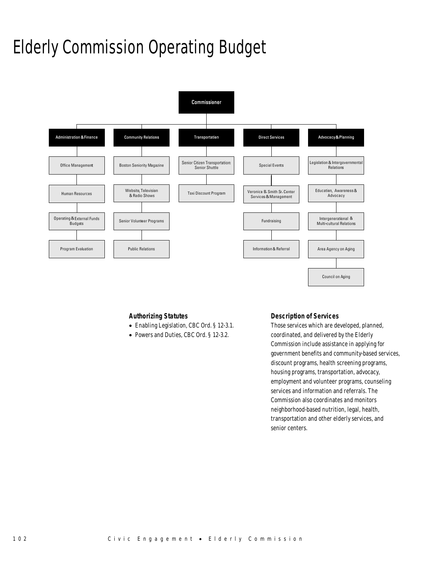# Elderly Commission Operating Budget



## *Authorizing Statutes*

- Enabling Legislation, CBC Ord. § 12-3.1.
- Powers and Duties, CBC Ord. § 12-3.2.

## *Description of Services*

Those services which are developed, planned, coordinated, and delivered by the Elderly Commission include assistance in applying for government benefits and community-based services, discount programs, health screening programs, housing programs, transportation, advocacy, employment and volunteer programs, counseling services and information and referrals. The Commission also coordinates and monitors neighborhood-based nutrition, legal, health, transportation and other elderly services, and senior centers.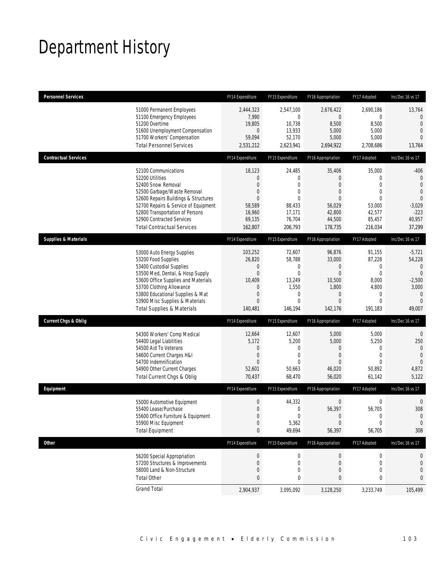## Department History

| <b>Personnel Services</b>       |                                                                                                                                                                                                                                                                                                      | FY14 Expenditure                                                                        | FY15 Expenditure                                                                                           | FY16 Appropriation                                                                                         | FY17 Adopted                                                                                       | Inc/Dec 16 vs 17                                                                                              |
|---------------------------------|------------------------------------------------------------------------------------------------------------------------------------------------------------------------------------------------------------------------------------------------------------------------------------------------------|-----------------------------------------------------------------------------------------|------------------------------------------------------------------------------------------------------------|------------------------------------------------------------------------------------------------------------|----------------------------------------------------------------------------------------------------|---------------------------------------------------------------------------------------------------------------|
|                                 | 51000 Permanent Employees<br>51100 Emergency Employees<br>51200 Overtime<br>51600 Unemployment Compensation<br>51700 Workers' Compensation<br><b>Total Personnel Services</b>                                                                                                                        | 2,444,323<br>7,990<br>19,805<br>0<br>59,094<br>2,531,212                                | 2,547,100<br>$\mathbf{0}$<br>10,738<br>13,933<br>52,170<br>2,623,941                                       | 2,676,422<br>$\overline{0}$<br>8,500<br>5,000<br>5,000<br>2,694,922                                        | 2,690,186<br>0<br>8,500<br>5,000<br>5,000<br>2,708,686                                             | 13,764<br>$\mathbf{0}$<br>$\mathbf{0}$<br>$\overline{0}$<br>$\Omega$<br>13,764                                |
| <b>Contractual Services</b>     |                                                                                                                                                                                                                                                                                                      | FY14 Expenditure                                                                        | FY15 Expenditure                                                                                           | FY16 Appropriation                                                                                         | FY17 Adopted                                                                                       | Inc/Dec 16 vs 17                                                                                              |
|                                 | 52100 Communications<br>52200 Utilities<br>52400 Snow Removal<br>52500 Garbage/Waste Removal<br>52600 Repairs Buildings & Structures<br>52700 Repairs & Service of Equipment<br>52800 Transportation of Persons<br>52900 Contracted Services<br><b>Total Contractual Services</b>                    | 18,123<br>0<br>$\overline{0}$<br>0<br>$\Omega$<br>58,589<br>16,960<br>69,135<br>162,807 | 24,485<br>$\mathbf 0$<br>$\mathbf{0}$<br>$\mathbf{0}$<br>$\Omega$<br>88,433<br>17,171<br>76,704<br>206,793 | 35,406<br>$\theta$<br>$\overline{0}$<br>$\theta$<br>$\Omega$<br>56,029<br>42,800<br>44,500<br>178,735      | 35,000<br>0<br>$\overline{0}$<br>$\mathbf{0}$<br>$\Omega$<br>53,000<br>42,577<br>85,457<br>216,034 | $-406$<br>$\mathbf 0$<br>$\mathbf{0}$<br>$\overline{0}$<br>$\theta$<br>$-3,029$<br>$-223$<br>40,957<br>37,299 |
| <b>Supplies &amp; Materials</b> |                                                                                                                                                                                                                                                                                                      | FY14 Expenditure                                                                        | FY15 Expenditure                                                                                           | FY16 Appropriation                                                                                         | FY17 Adopted                                                                                       | Inc/Dec 16 vs 17                                                                                              |
|                                 | 53000 Auto Energy Supplies<br>53200 Food Supplies<br>53400 Custodial Supplies<br>53500 Med, Dental, & Hosp Supply<br>53600 Office Supplies and Materials<br>53700 Clothing Allowance<br>53800 Educational Supplies & Mat<br>53900 Misc Supplies & Materials<br><b>Total Supplies &amp; Materials</b> | 103,252<br>26,820<br>0<br>$\boldsymbol{0}$<br>10,409<br>0<br>0<br>$\Omega$<br>140,481   | 72,607<br>58,788<br>0<br>$\mathbf{0}$<br>13,249<br>1,550<br>0<br>$\Omega$<br>146,194                       | 96,876<br>33,000<br>$\theta$<br>$\overline{0}$<br>10,500<br>1,800<br>$\theta$<br>$\overline{0}$<br>142,176 | 91,155<br>87,228<br>0<br>$\overline{0}$<br>8,000<br>4,800<br>0<br>$\overline{0}$<br>191,183        | $-5,721$<br>54,228<br>0<br>$\overline{0}$<br>$-2,500$<br>3,000<br>$\mathbf 0$<br>$\overline{0}$<br>49,007     |
| <b>Current Chgs &amp; Oblig</b> |                                                                                                                                                                                                                                                                                                      | FY14 Expenditure                                                                        | FY15 Expenditure                                                                                           | FY16 Appropriation                                                                                         | FY17 Adopted                                                                                       | Inc/Dec 16 vs 17                                                                                              |
|                                 | 54300 Workers' Comp Medical<br>54400 Legal Liabilities<br>54500 Aid To Veterans<br>54600 Current Charges H&I<br>54700 Indemnification<br>54900 Other Current Charges<br>Total Current Chgs & Oblig                                                                                                   | 12,664<br>5,172<br>0<br>$\boldsymbol{0}$<br>$\overline{0}$<br>52,601<br>70,437          | 12,607<br>5,200<br>0<br>$\mathbf 0$<br>$\Omega$<br>50,663<br>68,470                                        | 5,000<br>5,000<br>$\theta$<br>$\theta$<br>$\Omega$<br>46,020<br>56,020                                     | 5,000<br>5,250<br>$\mathbf{0}$<br>$\mathbf{0}$<br>$\Omega$<br>50,892<br>61,142                     | $\theta$<br>250<br>$\overline{0}$<br>$\overline{0}$<br>$\overline{0}$<br>4,872<br>5,122                       |
| Equipment                       |                                                                                                                                                                                                                                                                                                      | FY14 Expenditure                                                                        | FY15 Expenditure                                                                                           | FY16 Appropriation                                                                                         | FY17 Adopted                                                                                       | Inc/Dec 16 vs 17                                                                                              |
|                                 | 55000 Automotive Equipment<br>55400 Lease/Purchase<br>55600 Office Furniture & Equipment<br>55900 Misc Equipment<br><b>Total Equipment</b>                                                                                                                                                           | 0<br>$\Omega$<br>$\boldsymbol{0}$<br>0<br>0                                             | 44,332<br>$\overline{0}$<br>0<br>5,362<br>49,694                                                           | $\boldsymbol{0}$<br>56,397<br>$\theta$<br>$\theta$<br>56,397                                               | 0<br>56,705<br>$\boldsymbol{0}$<br>0<br>56,705                                                     | $\mathbf 0$<br>308<br>$\mathbf 0$<br>$\mathbf 0$<br>308                                                       |
| <b>Other</b>                    |                                                                                                                                                                                                                                                                                                      | FY14 Expenditure                                                                        | FY15 Expenditure                                                                                           | FY16 Appropriation                                                                                         | FY17 Adopted                                                                                       | Inc/Dec 16 vs 17                                                                                              |
|                                 | 56200 Special Appropriation<br>57200 Structures & Improvements<br>58000 Land & Non-Structure<br><b>Total Other</b>                                                                                                                                                                                   | $\boldsymbol{0}$<br>0<br>0<br>0                                                         | 0<br>0<br>$\mathbf 0$<br>0                                                                                 | $\theta$<br>$\mathbf 0$<br>$\overline{0}$<br>0                                                             | 0<br>0<br>$\mathbf{0}$<br>0                                                                        | 0<br>0<br>0<br>0                                                                                              |
|                                 | <b>Grand Total</b>                                                                                                                                                                                                                                                                                   | 2,904,937                                                                               | 3,095,092                                                                                                  | 3,128,250                                                                                                  | 3,233,749                                                                                          | 105,499                                                                                                       |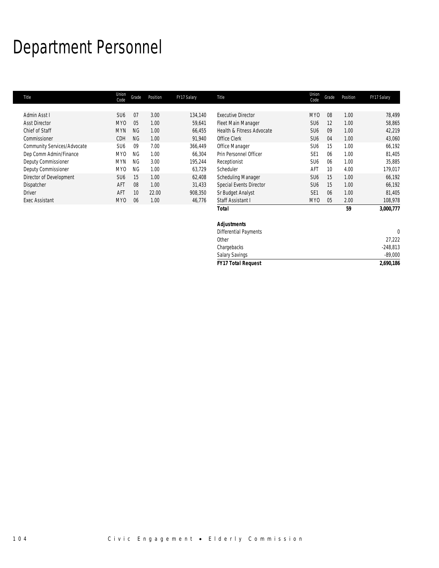# Department Personnel

| Title                       | Union<br>Code   | Grade     | Position | FY17 Salary | Title                     | Union<br>Code   | Grade | Position | FY17 Salary |
|-----------------------------|-----------------|-----------|----------|-------------|---------------------------|-----------------|-------|----------|-------------|
|                             |                 |           |          |             |                           |                 |       |          |             |
| Admin Asst I                | SU <sub>6</sub> | 07        | 3.00     | 134,140     | <b>Executive Director</b> | MY <sub>0</sub> | 08    | 1.00     | 78,499      |
| <b>Asst Director</b>        | MY <sub>0</sub> | 05        | 1.00     | 59,641      | Fleet Main Manager        | SU <sub>6</sub> | 12    | 1.00     | 58,865      |
| Chief of Staff              | <b>MYN</b>      | <b>NG</b> | 1.00     | 66,455      | Health & Fitness Advocate | SU <sub>6</sub> | 09    | 1.00     | 42,219      |
| Commissioner                | <b>CDH</b>      | NG        | 1.00     | 91,940      | Office Clerk              | SU <sub>6</sub> | 04    | 1.00     | 43,060      |
| Community Services/Advocate | SU <sub>6</sub> | 09        | 7.00     | 366,449     | Office Manager            | SU <sub>6</sub> | 15    | 1.00     | 66,192      |
| Dep Comm Admin/Finance      | MY <sub>0</sub> | NG.       | 1.00     | 66.304      | Prin Personnel Officer    | SF <sub>1</sub> | 06    | 1.00     | 81,405      |
| Deputy Commissioner         | <b>MYN</b>      | NG.       | 3.00     | 195.244     | Receptionist              | SU <sub>6</sub> | 06    | 1.00     | 35,885      |
| Deputy Commissioner         | <b>MYO</b>      | NG        | 1.00     | 63,729      | Scheduler                 | AFT             | 10    | 4.00     | 179,017     |
| Director of Development     | SU <sub>6</sub> | 15        | 1.00     | 62,408      | Scheduling Manager        | SU <sub>6</sub> | 15    | 1.00     | 66,192      |
| Dispatcher                  | AF <sub>1</sub> | 08        | 1.00     | 31,433      | Special Events Director   | SU <sub>6</sub> | 15    | 1.00     | 66,192      |
| <b>Driver</b>               | AF <sub>1</sub> | 10        | 22.00    | 908,350     | Sr Budget Analyst         | SE <sub>1</sub> | 06    | 1.00     | 81,405      |
| <b>Exec Assistant</b>       | MY <sub>0</sub> | 06        | 1.00     | 46,776      | Staff Assistant I         | MY0             | 05    | 2.00     | 108,978     |
|                             |                 |           |          |             | <b>Total</b>              |                 |       | 59       | 3,000,777   |

| <b>FY17 Total Request</b>    | 2,690,186  |
|------------------------------|------------|
| <b>Salary Savings</b>        | $-89,000$  |
| Chargebacks                  | $-248,813$ |
| Other                        | 27,222     |
| <b>Differential Payments</b> |            |
| <b>Adjustments</b>           |            |
|                              |            |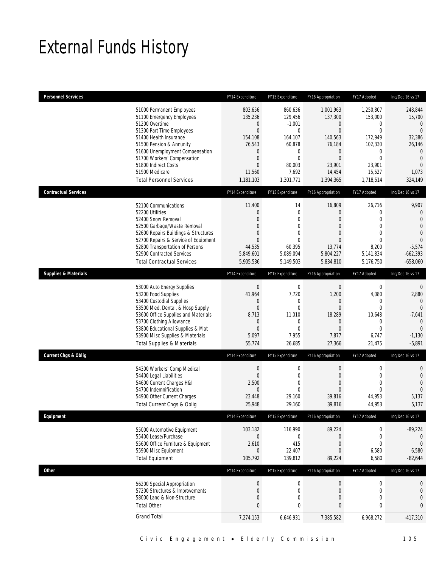## External Funds History

| <b>Personnel Services</b>       |                                                                                                                                                                                                                                                                                                            | FY14 Expenditure                                                                                                                                          | FY15 Expenditure                                                                                                              | FY16 Appropriation                                                                                                                        | FY17 Adopted                                                                                                                                | Inc/Dec 16 vs 17                                                                                                                         |
|---------------------------------|------------------------------------------------------------------------------------------------------------------------------------------------------------------------------------------------------------------------------------------------------------------------------------------------------------|-----------------------------------------------------------------------------------------------------------------------------------------------------------|-------------------------------------------------------------------------------------------------------------------------------|-------------------------------------------------------------------------------------------------------------------------------------------|---------------------------------------------------------------------------------------------------------------------------------------------|------------------------------------------------------------------------------------------------------------------------------------------|
|                                 | 51000 Permanent Employees<br>51100 Emergency Employees<br>51200 Overtime<br>51300 Part Time Employees<br>51400 Health Insurance<br>51500 Pension & Annunity<br>51600 Unemployment Compensation<br>51700 Workers' Compensation<br>51800 Indirect Costs<br>51900 Medicare<br><b>Total Personnel Services</b> | 803,656<br>135,236<br>$\boldsymbol{0}$<br>$\boldsymbol{0}$<br>154,108<br>76,543<br>$\mathbf 0$<br>$\boldsymbol{0}$<br>$\mathbf{0}$<br>11,560<br>1,181,103 | 860,636<br>129,456<br>$-1,001$<br>$\mathbf 0$<br>164,107<br>60,878<br>0<br>$\mathbf 0$<br>80,003<br>7,692<br>1,301,771        | 1,001,963<br>137,300<br>0<br>$\boldsymbol{0}$<br>140,563<br>76,184<br>$\boldsymbol{0}$<br>$\overline{0}$<br>23,901<br>14,454<br>1,394,365 | 1,250,807<br>153,000<br>$\mathbf 0$<br>$\overline{0}$<br>172,949<br>102,330<br>$\mathbf 0$<br>$\mathbf{0}$<br>23,901<br>15,527<br>1,718,514 | 248,844<br>15,700<br>$\mathbf 0$<br>$\overline{0}$<br>32,386<br>26,146<br>$\Omega$<br>$\mathbf{0}$<br>$\overline{0}$<br>1,073<br>324,149 |
| <b>Contractual Services</b>     |                                                                                                                                                                                                                                                                                                            | FY14 Expenditure                                                                                                                                          | FY15 Expenditure                                                                                                              | FY16 Appropriation                                                                                                                        | FY17 Adopted                                                                                                                                | Inc/Dec 16 vs 17                                                                                                                         |
|                                 | 52100 Communications<br>52200 Utilities<br>52400 Snow Removal<br>52500 Garbage/Waste Removal<br>52600 Repairs Buildings & Structures<br>52700 Repairs & Service of Equipment<br>52800 Transportation of Persons<br>52900 Contracted Services<br><b>Total Contractual Services</b>                          | 11,400<br>$\mathbf 0$<br>$\mathbf{0}$<br>0<br>$\overline{0}$<br>$\overline{0}$<br>44,535<br>5,849,601<br>5,905,536                                        | 14<br>$\boldsymbol{0}$<br>$\overline{0}$<br>$\mathbf{0}$<br>$\overline{0}$<br>$\mathbf 0$<br>60,395<br>5,089,094<br>5,149,503 | 16,809<br>$\overline{0}$<br>$\overline{0}$<br>$\overline{0}$<br>$\overline{0}$<br>0<br>13.774<br>5,804,227<br>5,834,810                   | 26,716<br>$\mathbf 0$<br>$\mathbf{0}$<br>$\mathbf{0}$<br>$\mathbf{0}$<br>$\mathbf{0}$<br>8,200<br>5,141,834<br>5,176,750                    | 9,907<br>$\mathbf{0}$<br>$\mathbf{0}$<br>$\Omega$<br>$\Omega$<br>$\Omega$<br>$-5,574$<br>$-662,393$<br>$-658,060$                        |
| <b>Supplies &amp; Materials</b> |                                                                                                                                                                                                                                                                                                            | FY14 Expenditure                                                                                                                                          | FY15 Expenditure                                                                                                              | FY16 Appropriation                                                                                                                        | FY17 Adopted                                                                                                                                | Inc/Dec 16 vs 17                                                                                                                         |
|                                 | 53000 Auto Energy Supplies<br>53200 Food Supplies<br>53400 Custodial Supplies<br>53500 Med, Dental, & Hosp Supply<br>53600 Office Supplies and Materials<br>53700 Clothing Allowance<br>53800 Educational Supplies & Mat<br>53900 Misc Supplies & Materials<br><b>Total Supplies &amp; Materials</b>       | $\boldsymbol{0}$<br>41,964<br>$\mathbf 0$<br>$\mathbf 0$<br>8,713<br>$\mathbf 0$<br>$\mathbf{0}$<br>5,097<br>55,774                                       | $\boldsymbol{0}$<br>7,720<br>0<br>$\mathbf{0}$<br>11,010<br>$\mathbf 0$<br>$\overline{0}$<br>7,955<br>26,685                  | $\boldsymbol{0}$<br>1,200<br>0<br>0<br>18,289<br>0<br>$\overline{0}$<br>7,877<br>27,366                                                   | $\mathbf 0$<br>4,080<br>$\mathbf 0$<br>$\mathbf{0}$<br>10,648<br>$\mathbf 0$<br>$\mathbf{0}$<br>6,747<br>21,475                             | $\mathbf{0}$<br>2,880<br>$\theta$<br>$\mathbf{0}$<br>$-7,641$<br>$\mathbf{0}$<br>$\mathbf{0}$<br>$-1,130$<br>$-5,891$                    |
| <b>Current Chgs &amp; Oblig</b> |                                                                                                                                                                                                                                                                                                            | FY14 Expenditure                                                                                                                                          | FY15 Expenditure                                                                                                              | FY16 Appropriation                                                                                                                        | FY17 Adopted                                                                                                                                | Inc/Dec 16 vs 17                                                                                                                         |
|                                 | 54300 Workers' Comp Medical<br>54400 Legal Liabilities<br>54600 Current Charges H&I<br>54700 Indemnification<br>54900 Other Current Charges<br>Total Current Chgs & Oblig                                                                                                                                  | $\boldsymbol{0}$<br>$\boldsymbol{0}$<br>2,500<br>$\mathbf 0$<br>23,448<br>25,948                                                                          | $\mathbf 0$<br>$\mathbf 0$<br>$\mathbf 0$<br>0<br>29,160<br>29.160                                                            | $\boldsymbol{0}$<br>$\overline{0}$<br>$\overline{0}$<br>0<br>39,816<br>39,816                                                             | $\boldsymbol{0}$<br>$\mathbf 0$<br>$\mathbf{0}$<br>$\mathbf{0}$<br>44,953<br>44,953                                                         | $\mathbf{0}$<br>$\mathbf{0}$<br>$\mathbf{0}$<br>$\mathbf{0}$<br>5,137<br>5,137                                                           |
| Equipment                       |                                                                                                                                                                                                                                                                                                            | FY14 Expenditure                                                                                                                                          | FY15 Expenditure                                                                                                              | FY16 Appropriation                                                                                                                        | FY17 Adopted                                                                                                                                | Inc/Dec 16 vs 17                                                                                                                         |
|                                 | 55000 Automotive Equipment<br>55400 Lease/Purchase<br>55600 Office Furniture & Equipment<br>55900 Misc Equipment<br><b>Total Equipment</b>                                                                                                                                                                 | 103,182<br>$\mathbf 0$<br>2,610<br>$\mathbf 0$<br>105,792                                                                                                 | 116,990<br>$\mathbf 0$<br>415<br>22,407<br>139,812                                                                            | 89,224<br>$\mathbf 0$<br>$\mathbf 0$<br>$\boldsymbol{0}$<br>89,224                                                                        | $\boldsymbol{0}$<br>$\mathbf 0$<br>$\mathbf 0$<br>6,580<br>6,580                                                                            | $-89,224$<br>$\mathbf 0$<br>$\mathbf{0}$<br>6,580<br>$-82,644$                                                                           |
| Other                           |                                                                                                                                                                                                                                                                                                            | FY14 Expenditure                                                                                                                                          | FY15 Expenditure                                                                                                              | FY16 Appropriation                                                                                                                        | FY17 Adopted                                                                                                                                | Inc/Dec 16 vs 17                                                                                                                         |
|                                 | 56200 Special Appropriation<br>57200 Structures & Improvements<br>58000 Land & Non-Structure<br><b>Total Other</b>                                                                                                                                                                                         | $\boldsymbol{0}$<br>$\boldsymbol{0}$<br>$\boldsymbol{0}$<br>$\pmb{0}$                                                                                     | $\boldsymbol{0}$<br>$\boldsymbol{0}$<br>0<br>0                                                                                | $\mathbf 0$<br>$\boldsymbol{0}$<br>0<br>0                                                                                                 | $\boldsymbol{0}$<br>$\mathbf 0$<br>$\boldsymbol{0}$<br>$\bf{0}$                                                                             | $\boldsymbol{0}$<br>$\mathbf{0}$<br>$\overline{0}$<br>0                                                                                  |
|                                 | <b>Grand Total</b>                                                                                                                                                                                                                                                                                         | 7,274,153                                                                                                                                                 | 6,646,931                                                                                                                     | 7,385,582                                                                                                                                 | 6,968,272                                                                                                                                   | $-417,310$                                                                                                                               |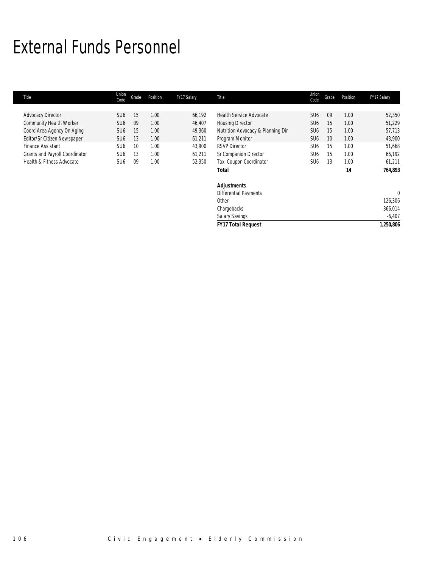## External Funds Personnel

| Title                          | Union<br>Code   | Grade | Position | FY17 Salary | Title                             | Union<br>Code   | Grade | Position | FY17 Salary  |
|--------------------------------|-----------------|-------|----------|-------------|-----------------------------------|-----------------|-------|----------|--------------|
|                                |                 |       |          |             |                                   |                 |       |          |              |
| <b>Advocacy Director</b>       | SU <sub>6</sub> | 15    | 1.00     | 66,192      | <b>Health Service Advocate</b>    | SU <sub>6</sub> | 09    | 1.00     | 52,350       |
| Community Health Worker        | SU <sub>6</sub> | 09    | 1.00     | 46,407      | <b>Housing Director</b>           | SU <sub>6</sub> | 15    | 1.00     | 51,229       |
| Coord Area Agency On Aging     | SU <sub>6</sub> | 15    | 1.00     | 49,360      | Nutrition Advocacy & Planning Dir | SU <sub>6</sub> | 15    | 1.00     | 57,713       |
| Editor/Sr Citizen Newspaper    | SU <sub>6</sub> | 13    | 1.00     | 61,211      | Program Monitor                   | SU <sub>6</sub> | 10    | 1.00     | 43,900       |
| Finance Assistant              | SU <sub>6</sub> | 10    | 1.00     | 43,900      | <b>RSVP Director</b>              | SU <sub>6</sub> | 15    | 1.00     | 51,668       |
| Grants and Payroll Coordinator | SU <sub>6</sub> | 13    | 1.00     | 61,211      | Sr Companion Director             | SU <sub>6</sub> | 15    | 1.00     | 66,192       |
| Health & Fitness Advocate      | SU <sub>6</sub> | 09    | 1.00     | 52,350      | Taxi Coupon Coordinator           | SU <sub>6</sub> | 13    | 1.00     | 61,211       |
|                                |                 |       |          |             | <b>Total</b>                      |                 |       | 14       | 764,893      |
|                                |                 |       |          |             | <b>Adjustments</b>                |                 |       |          |              |
|                                |                 |       |          |             | Differential Payments             |                 |       |          | $\mathbf{0}$ |
|                                |                 |       |          |             | Other                             |                 |       |          | 126,306      |
|                                |                 |       |          |             | Chargebacks                       |                 |       |          | 366,014      |
|                                |                 |       |          |             | Salary Savings                    |                 |       |          | $-6,407$     |
|                                |                 |       |          |             | <b>FY17 Total Request</b>         |                 |       |          | 1,250,806    |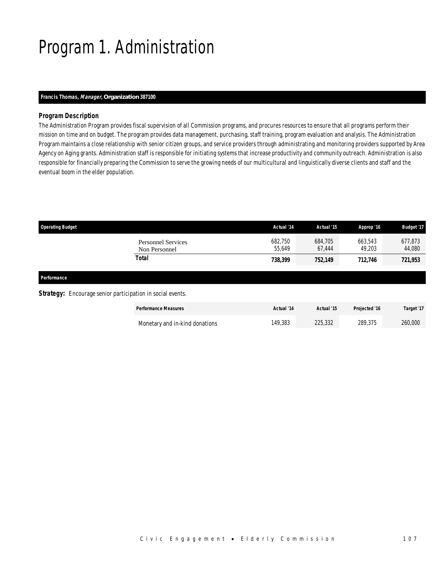# Program 1. Administration

### *Francis Thomas, Manager, Organization 387100*

## *Program Description*

The Administration Program provides fiscal supervision of all Commission programs, and procures resources to ensure that all programs perform their mission on time and on budget. The program provides data management, purchasing, staff training, program evaluation and analysis. The Administration Program maintains a close relationship with senior citizen groups, and service providers through administrating and monitoring providers supported by Area Agency on Aging grants. Administration staff is responsible for initiating systems that increase productivity and community outreach. Administration is also responsible for financially preparing the Commission to serve the growing needs of our multicultural and linguistically diverse clients and staff and the eventual boom in the elder population.

| <b>Operating Budget</b>                    | Actual '14        | Actual '15        | Approp '16        | Budget '17        |
|--------------------------------------------|-------------------|-------------------|-------------------|-------------------|
| <b>Personnel Services</b><br>Non Personnel | 682.750<br>55,649 | 684,705<br>67,444 | 663,543<br>49,203 | 677,873<br>44,080 |
| <b>Total</b>                               | 738,399           | 752,149           | 712,746           | 721,953           |
| Performance                                |                   |                   |                   |                   |
|                                            |                   |                   |                   |                   |

**Strategy:** Encourage senior participation in social events.

| <b>Performance Measures</b>    | Actual '14 | Actual '15 | <b>Projected '16</b> | Target '17 |
|--------------------------------|------------|------------|----------------------|------------|
| Monetary and in-kind donations | 149,383    | 225,332    | 289.375              | 260,000    |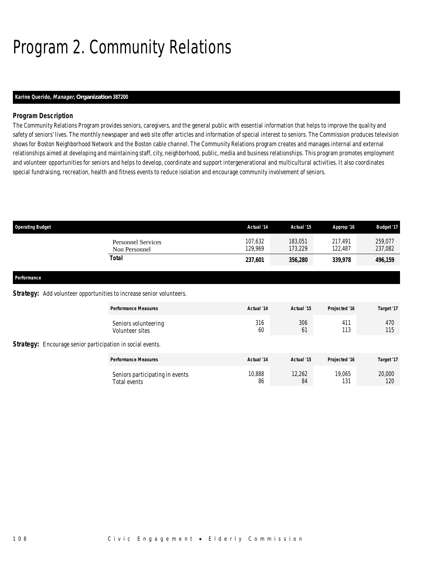# Program 2. Community Relations

## *Karine Querido, Manager, Organization 387200*

## *Program Description*

The Community Relations Program provides seniors, caregivers, and the general public with essential information that helps to improve the quality and safety of seniors' lives. The monthly newspaper and web site offer articles and information of special interest to seniors. The Commission produces television shows for Boston Neighborhood Network and the Boston cable channel. The Community Relations program creates and manages internal and external relationships aimed at developing and maintaining staff, city, neighborhood, public, media and business relationships. This program promotes employment and volunteer opportunities for seniors and helps to develop, coordinate and support intergenerational and multicultural activities. It also coordinates special fundraising, recreation, health and fitness events to reduce isolation and encourage community involvement of seniors.

| <b>Operating Budget</b>                                              |                                                 | Actual '14         | Actual '15         | Approp '16         | <b>Budget '17</b>  |
|----------------------------------------------------------------------|-------------------------------------------------|--------------------|--------------------|--------------------|--------------------|
|                                                                      | <b>Personnel Services</b><br>Non Personnel      | 107.632<br>129,969 | 183.051<br>173,229 | 217.491<br>122,487 | 259,077<br>237,082 |
|                                                                      | <b>Total</b>                                    | 237,601            | 356,280            | 339,978            | 496,159            |
| Performance                                                          |                                                 |                    |                    |                    |                    |
| Strategy: Add volunteer opportunities to increase senior volunteers. |                                                 |                    |                    |                    |                    |
|                                                                      | <b>Performance Measures</b>                     | Actual '14         | Actual '15         | Projected '16      | Target '17         |
|                                                                      | Seniors volunteering<br>Volunteer sites         | 316<br>60          | 306<br>61          | 411<br>113         | 470<br>115         |
| <b>Strategy:</b> Encourage senior participation in social events.    |                                                 |                    |                    |                    |                    |
|                                                                      | <b>Performance Measures</b>                     | Actual '14         | Actual '15         | Projected '16      | Target '17         |
|                                                                      | Seniors participating in events<br>Total events | 10,888<br>86       | 12,262<br>84       | 19,065<br>131      | 20,000<br>120      |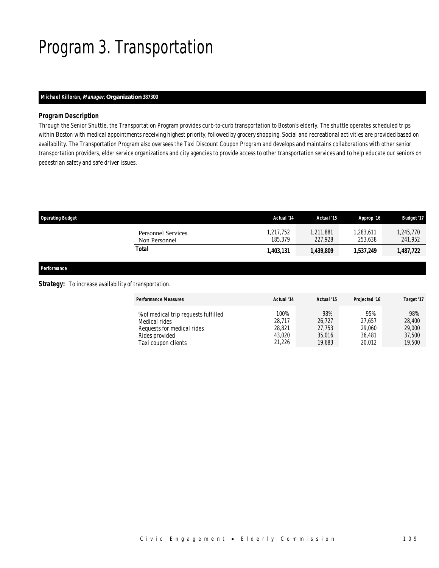## Program 3. Transportation

## *Michael Killoran, Manager, Organization 387300*

### *Program Description*

Through the Senior Shuttle, the Transportation Program provides curb-to-curb transportation to Boston's elderly. The shuttle operates scheduled trips within Boston with medical appointments receiving highest priority, followed by grocery shopping. Social and recreational activities are provided based on availability. The Transportation Program also oversees the Taxi Discount Coupon Program and develops and maintains collaborations with other senior transportation providers, elder service organizations and city agencies to provide access to other transportation services and to help educate our seniors on pedestrian safety and safe driver issues.

| <b>Operating Budget</b>                    | Actual '14           | Actual '15           | Approp '16         | <b>Budget '17</b>    |
|--------------------------------------------|----------------------|----------------------|--------------------|----------------------|
| <b>Personnel Services</b><br>Non Personnel | 1.217.752<br>185.379 | 1.211.881<br>227,928 | 283,611<br>253.638 | 1,245,770<br>241,952 |
| Total                                      | 1,403,131            | 1,439,809            | 1,537,249          | 1,487,722            |

### *Performance*

**Strategy:** To increase availability of transportation.

| <b>Performance Measures</b>          | Actual '14 | Actual '15 | Projected '16 | Target '17 |
|--------------------------------------|------------|------------|---------------|------------|
| % of medical trip requests fulfilled | 100%       | 98%        | 95%           | 98%        |
| Medical rides                        | 28.717     | 26.727     | 27.657        | 28,400     |
| Requests for medical rides           | 28,821     | 27.753     | 29,060        | 29,000     |
| Rides provided                       | 43.020     | 35,016     | 36.481        | 37,500     |
| Taxi coupon clients                  | 21,226     | 19,683     | 20.012        | 19,500     |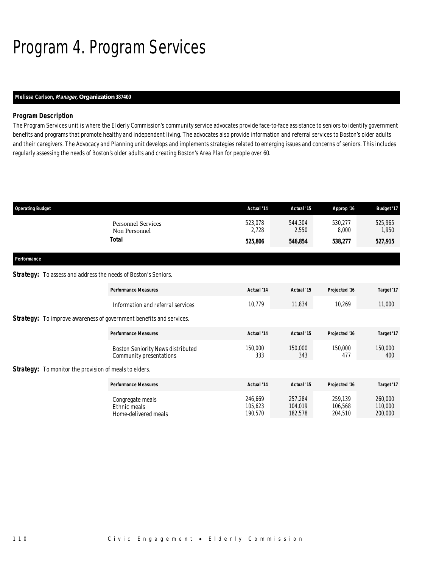# Program 4. Program Services

## *Melissa Carlson, Manager, Organization 387400*

## *Program Description*

The Program Services unit is where the Elderly Commission's community service advocates provide face-to-face assistance to seniors to identify government benefits and programs that promote healthy and independent living. The advocates also provide information and referral services to Boston's older adults and their caregivers. The Advocacy and Planning unit develops and implements strategies related to emerging issues and concerns of seniors. This includes regularly assessing the needs of Boston's older adults and creating Boston's Area Plan for people over 60.

| <b>Operating Budget</b>                                                    |                                                                     | Actual '14                    | Actual '15                    | Approp '16                    | <b>Budget '17</b>             |
|----------------------------------------------------------------------------|---------------------------------------------------------------------|-------------------------------|-------------------------------|-------------------------------|-------------------------------|
|                                                                            | <b>Personnel Services</b><br>Non Personnel                          | 523,078<br>2,728              | 544.304<br>2,550              | 530,277<br>8,000              | 525,965<br>1,950              |
|                                                                            | <b>Total</b>                                                        | 525,806                       | 546,854                       | 538,277                       | 527,915                       |
| Performance                                                                |                                                                     |                               |                               |                               |                               |
| <b>Strategy:</b> To assess and address the needs of Boston's Seniors.      |                                                                     |                               |                               |                               |                               |
|                                                                            | <b>Performance Measures</b>                                         | Actual '14                    | Actual '15                    | Projected '16                 | Target '17                    |
|                                                                            | Information and referral services                                   | 10,779                        | 11,834                        | 10,269                        | 11,000                        |
| <b>Strategy:</b> To improve awareness of government benefits and services. |                                                                     |                               |                               |                               |                               |
|                                                                            | <b>Performance Measures</b>                                         | Actual '14                    | Actual '15                    | Projected '16                 | Target '17                    |
|                                                                            | <b>Boston Seniority News distributed</b><br>Community presentations | 150,000<br>333                | 150,000<br>343                | 150,000<br>477                | 150,000<br>400                |
| <b>Strategy:</b> To monitor the provision of meals to elders.              |                                                                     |                               |                               |                               |                               |
|                                                                            | <b>Performance Measures</b>                                         | Actual '14                    | Actual '15                    | Projected '16                 | Target '17                    |
|                                                                            | Congregate meals<br>Ethnic meals<br>Home-delivered meals            | 246,669<br>105.623<br>190,570 | 257,284<br>104.019<br>182,578 | 259,139<br>106.568<br>204,510 | 260,000<br>110,000<br>200,000 |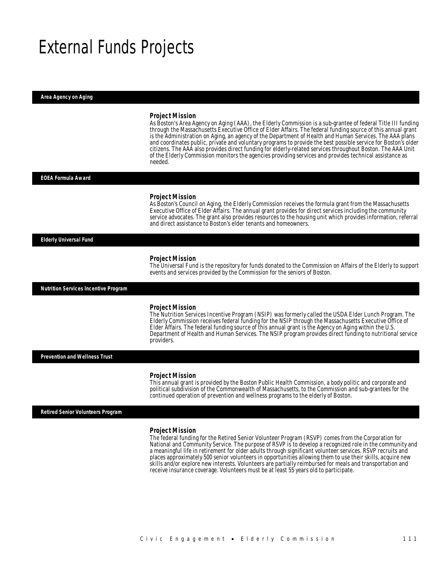## External Funds Projects

*Area Agency on Aging* 

#### *Project Mission*

As Boston's Area Agency on Aging (AAA), the Elderly Commission is a sub-grantee of federal Title III funding through the Massachusetts Executive Office of Elder Affairs. The federal funding source of this annual grant is the Administration on Aging, an agency of the Department of Health and Human Services. The AAA plans and coordinates public, private and voluntary programs to provide the best possible service for Boston's older citizens. The AAA also provides direct funding for elderly-related services throughout Boston. The AAA Unit of the Elderly Commission monitors the agencies providing services and provides technical assistance as needed.

#### *EOEA Formula Award*

#### *Project Mission*

As Boston's Council on Aging, the Elderly Commission receives the formula grant from the Massachusetts Executive Office of Elder Affairs. The annual grant provides for direct services including the community service advocates. The grant also provides resources to the housing unit which provides information, referral and direct assistance to Boston's elder tenants and homeowners.

#### *Elderly Universal Fund*

#### *Project Mission*

The Universal Fund is the repository for funds donated to the Commission on Affairs of the Elderly to support events and services provided by the Commission for the seniors of Boston.

*Nutrition Services Incentive Program* 

#### *Project Mission*

The Nutrition Services Incentive Program (NSIP) was formerly called the USDA Elder Lunch Program. The Elderly Commission receives federal funding for the NSIP through the Massachusetts Executive Office of Elder Affairs. The federal funding source of this annual grant is the Agency on Aging within the U.S. Department of Health and Human Services. The NSIP program provides direct funding to nutritional service providers.

*Prevention and Wellness Trust* 

#### *Project Mission*

Î

This annual grant is provided by the Boston Public Health Commission, a body politic and corporate and political subdivision of the Commonwealth of Massachusetts, to the Commission and sub-grantees for the continued operation of prevention and wellness programs to the elderly of Boston.

#### *Retired Senior Volunteers Program*

#### *Project Mission*

The federal funding for the Retired Senior Volunteer Program (RSVP) comes from the Corporation for National and Community Service. The purpose of RSVP is to develop a recognized role in the community and a meaningful life in retirement for older adults through significant volunteer services. RSVP recruits and places approximately 500 senior volunteers in opportunities allowing them to use their skills, acquire new skills and/or explore new interests. Volunteers are partially reimbursed for meals and transportation and receive insurance coverage. Volunteers must be at least 55 years old to participate.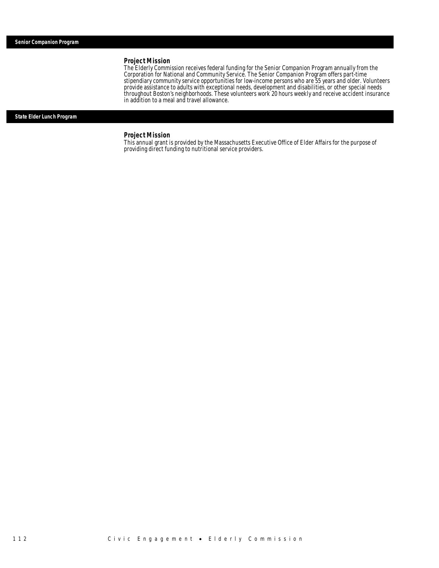#### *Project Mission*

The Elderly Commission receives federal funding for the Senior Companion Program annually from the Corporation for National and Community Service. The Senior Companion Program offers part-time stipendiary community service opportunities for low-income persons who are 55 years and older. Volunteers provide assistance to adults with exceptional needs, development and disabilities, or other special needs throughout Boston's neighborhoods. These volunteers work 20 hours weekly and receive accident insurance in addition to a meal and travel allowance.

#### *State Elder Lunch Program*

## *Project Mission*

This annual grant is provided by the Massachusetts Executive Office of Elder Affairs for the purpose of providing direct funding to nutritional service providers.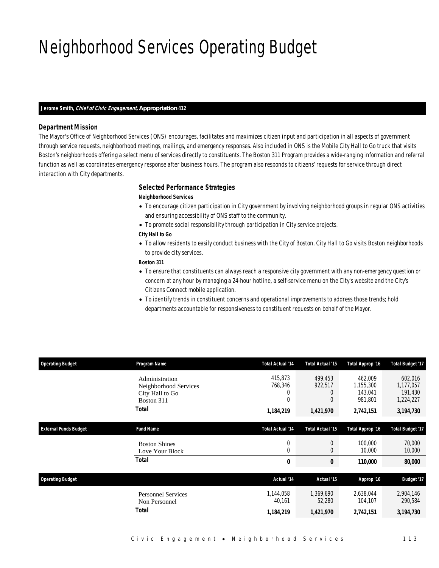## Neighborhood Services Operating Budget

### *Jerome Smith, Chief of Civic Engagement, Appropriation 412*

## *Department Mission*

The Mayor's Office of Neighborhood Services (ONS) encourages, facilitates and maximizes citizen input and participation in all aspects of government through service requests, neighborhood meetings, mailings, and emergency responses. Also included in ONS is the Mobile City Hall to Go truck that visits Boston's neighborhoods offering a select menu of services directly to constituents. The Boston 311 Program provides a wide-ranging information and referral function as well as coordinates emergency response after business hours. The program also responds to citizens' requests for service through direct interaction with City departments.

#### *Selected Performance Strategies*

### *Neighborhood Services*

- To encourage citizen participation in City government by involving neighborhood groups in regular ONS activities and ensuring accessibility of ONS staff to the community.
- To promote social responsibility through participation in City service projects.
- *City Hall to Go*
- To allow residents to easily conduct business with the City of Boston, City Hall to Go visits Boston neighborhoods to provide city services.

*Boston 311* 

- To ensure that constituents can always reach a responsive city government with any non-emergency question or concern at any hour by managing a 24-hour hotline, a self-service menu on the City's website and the City's Citizens Connect mobile application.
- To identify trends in constituent concerns and operational improvements to address those trends; hold departments accountable for responsiveness to constituent requests on behalf of the Mayor.

| <b>Operating Budget</b>      | Program Name                                                             | <b>Total Actual '14</b>          | Total Actual '15                 | Total Approp '16                           | <b>Total Budget '17</b>                      |
|------------------------------|--------------------------------------------------------------------------|----------------------------------|----------------------------------|--------------------------------------------|----------------------------------------------|
|                              | Administration<br>Neighborhood Services<br>City Hall to Go<br>Boston 311 | 415,873<br>768,346<br>0<br>0     | 499.453<br>922,517<br>0<br>0     | 462,009<br>1,155,300<br>143,041<br>981,801 | 602,016<br>1,177,057<br>191,430<br>1,224,227 |
|                              | <b>Total</b>                                                             | 1,184,219                        | 1,421,970                        | 2,742,151                                  | 3,194,730                                    |
| <b>External Funds Budget</b> | <b>Fund Name</b>                                                         | <b>Total Actual '14</b>          | <b>Total Actual '15</b>          | Total Approp '16                           | <b>Total Budget '17</b>                      |
|                              | <b>Boston Shines</b><br>Love Your Block                                  | $\overline{0}$<br>$\overline{0}$ | $\overline{0}$<br>$\overline{0}$ | 100,000<br>10,000                          | 70,000<br>10,000                             |
|                              | <b>Total</b>                                                             | 0                                | 0                                | 110,000                                    | 80,000                                       |
| <b>Operating Budget</b>      |                                                                          | Actual '14                       | Actual '15                       | Approp '16                                 | <b>Budget '17</b>                            |
|                              | <b>Personnel Services</b><br>Non Personnel                               | 1,144,058<br>40,161              | 1,369,690<br>52,280              | 2,638,044<br>104,107                       | 2,904,146<br>290,584                         |
|                              | Total                                                                    | 1,184,219                        | 1,421,970                        | 2,742,151                                  | 3,194,730                                    |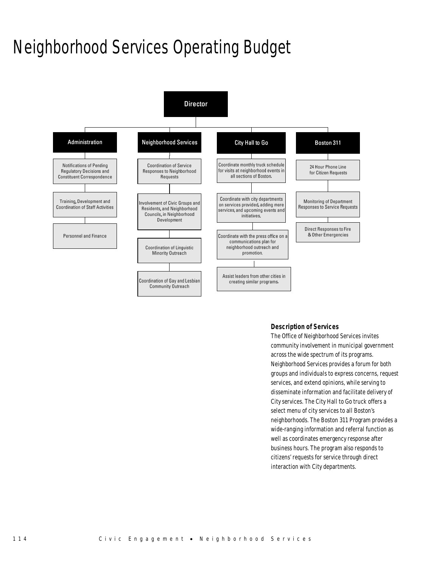# Neighborhood Services Operating Budget



## *Description of Services*

The Office of Neighborhood Services invites community involvement in municipal government across the wide spectrum of its programs. Neighborhood Services provides a forum for both groups and individuals to express concerns, request services, and extend opinions, while serving to disseminate information and facilitate delivery of City services. The City Hall to Go truck offers a select menu of city services to all Boston's neighborhoods. The Boston 311 Program provides a wide-ranging information and referral function as well as coordinates emergency response after business hours. The program also responds to citizens' requests for service through direct interaction with City departments.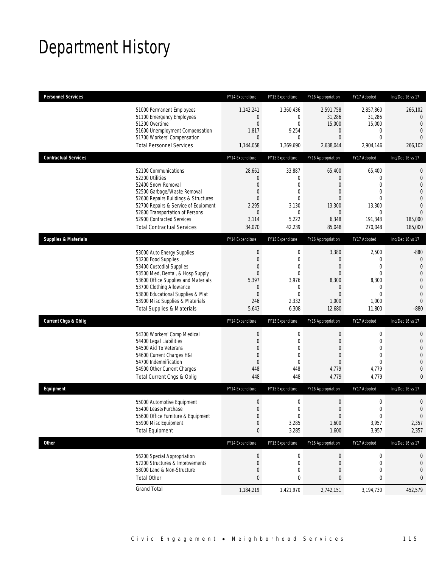## Department History

| <b>Personnel Services</b>       |                                       | FY14 Expenditure | FY15 Expenditure | FY16 Appropriation | FY17 Adopted     | Inc/Dec 16 vs 17 |
|---------------------------------|---------------------------------------|------------------|------------------|--------------------|------------------|------------------|
|                                 | 51000 Permanent Employees             | 1,142,241        | 1,360,436        | 2,591,758          | 2,857,860        | 266,102          |
|                                 | 51100 Emergency Employees             | 0                | $\mathbf{0}$     | 31,286             | 31,286           | $\overline{0}$   |
|                                 | 51200 Overtime                        | $\boldsymbol{0}$ | $\mathbf 0$      | 15,000             | 15,000           | $\mathbf{0}$     |
|                                 | 51600 Unemployment Compensation       | 1,817            | 9,254            | $\mathbf 0$        | 0                | $\mathbf 0$      |
|                                 | 51700 Workers' Compensation           | $\overline{0}$   | 0                | $\theta$           | $\mathbf{0}$     | $\overline{0}$   |
|                                 | <b>Total Personnel Services</b>       | 1,144,058        | 1,369,690        | 2,638,044          | 2,904,146        | 266,102          |
| <b>Contractual Services</b>     |                                       | FY14 Expenditure | FY15 Expenditure | FY16 Appropriation | FY17 Adopted     | Inc/Dec 16 vs 17 |
|                                 | 52100 Communications                  | 28,661           | 33,887           | 65,400             | 65,400           | $\mathbf 0$      |
|                                 | 52200 Utilities                       | 0                | $\boldsymbol{0}$ | $\theta$           | 0                | $\mathbf{0}$     |
|                                 | 52400 Snow Removal                    | $\overline{0}$   | $\mathbf{0}$     | $\overline{0}$     | $\mathbf{0}$     | $\overline{0}$   |
|                                 | 52500 Garbage/Waste Removal           | 0                | $\mathbf{0}$     | $\theta$           | $\overline{0}$   | $\overline{0}$   |
|                                 | 52600 Repairs Buildings & Structures  | $\overline{0}$   | $\mathbf{0}$     | $\overline{0}$     | $\Omega$         | $\overline{0}$   |
|                                 | 52700 Repairs & Service of Equipment  | 2,295            | 3,130            | 13,300             | 13,300           | $\overline{0}$   |
|                                 | 52800 Transportation of Persons       | 0                | $\mathbf{0}$     | $\mathbf{0}$       | 0                | $\overline{0}$   |
|                                 | 52900 Contracted Services             | 3,114            | 5,222            | 6,348              | 191,348          | 185,000          |
|                                 | <b>Total Contractual Services</b>     | 34,070           | 42,239           | 85,048             | 270,048          | 185,000          |
| <b>Supplies &amp; Materials</b> |                                       | FY14 Expenditure | FY15 Expenditure | FY16 Appropriation | FY17 Adopted     | Inc/Dec 16 vs 17 |
|                                 | 53000 Auto Energy Supplies            | $\boldsymbol{0}$ | 0                | 3,380              | 2,500            | $-880$           |
|                                 | 53200 Food Supplies                   | $\boldsymbol{0}$ | $\mathbf 0$      | $\theta$           | 0                | $\theta$         |
|                                 | 53400 Custodial Supplies              | 0                | $\mathbf 0$      | $\mathbf 0$        | $\mathbf 0$      | $\mathbf{0}$     |
|                                 | 53500 Med, Dental, & Hosp Supply      | $\overline{0}$   | $\mathbf{0}$     | $\theta$           | $\mathbf 0$      | $\overline{0}$   |
|                                 | 53600 Office Supplies and Materials   | 5,397            | 3,976            | 8,300              | 8,300            | $\mathbf 0$      |
|                                 | 53700 Clothing Allowance              | 0                | $\mathbf 0$      | $\theta$           | 0                | $\mathbf{0}$     |
|                                 | 53800 Educational Supplies & Mat      | $\boldsymbol{0}$ | $\mathbf{0}$     | $\overline{0}$     | $\mathbf{0}$     | $\mathbf{0}$     |
|                                 | 53900 Misc Supplies & Materials       | 246              | 2,332            | 1,000              | 1,000            | $\mathbf{0}$     |
|                                 | <b>Total Supplies &amp; Materials</b> | 5,643            | 6,308            | 12,680             | 11,800           | $-880$           |
| <b>Current Chgs &amp; Oblig</b> |                                       | FY14 Expenditure | FY15 Expenditure | FY16 Appropriation | FY17 Adopted     | Inc/Dec 16 vs 17 |
|                                 | 54300 Workers' Comp Medical           | $\boldsymbol{0}$ | $\mathbf 0$      | $\mathbf 0$        | $\boldsymbol{0}$ | 0                |
|                                 | 54400 Legal Liabilities               | $\mathbf 0$      | $\mathbf 0$      | $\theta$           | $\mathbf{0}$     | $\mathbf 0$      |
|                                 | 54500 Aid To Veterans                 | $\overline{0}$   | $\mathbf{0}$     | $\overline{0}$     | $\mathbf{0}$     | $\overline{0}$   |
|                                 | 54600 Current Charges H&I             | $\mathbf{0}$     | $\mathbf 0$      | $\theta$           | $\overline{0}$   | $\overline{0}$   |
|                                 | 54700 Indemnification                 | $\boldsymbol{0}$ | $\mathbf{0}$     | $\overline{0}$     | $\Omega$         | $\overline{0}$   |
|                                 | 54900 Other Current Charges           | 448              | 448              | 4,779              | 4,779            | $\mathbf{0}$     |
|                                 | Total Current Chgs & Oblig            | 448              | 448              | 4,779              | 4,779            | $\mathbf{0}$     |
| Equipment                       |                                       | FY14 Expenditure | FY15 Expenditure | FY16 Appropriation | FY17 Adopted     | Inc/Dec 16 vs 17 |
|                                 | 55000 Automotive Equipment            | $\boldsymbol{0}$ | $\mathbf 0$      | $\boldsymbol{0}$   | $\mathbf 0$      | $\mathbf 0$      |
|                                 | 55400 Lease/Purchase                  | $\Omega$         | $\theta$         | $\Omega$           | $\theta$         | $\mathbf 0$      |
|                                 | 55600 Office Furniture & Equipment    | $\boldsymbol{0}$ | $\boldsymbol{0}$ | $\boldsymbol{0}$   | $\boldsymbol{0}$ | $\boldsymbol{0}$ |
|                                 | 55900 Misc Equipment                  | 0                | 3,285            | 1,600              | 3,957            | 2,357            |
|                                 | <b>Total Equipment</b>                | $\pmb{0}$        | 3,285            | 1,600              | 3,957            | 2,357            |
| <b>Other</b>                    |                                       | FY14 Expenditure | FY15 Expenditure | FY16 Appropriation | FY17 Adopted     | Inc/Dec 16 vs 17 |
|                                 | 56200 Special Appropriation           | $\boldsymbol{0}$ | $\boldsymbol{0}$ | $\theta$           | 0                | 0                |
|                                 | 57200 Structures & Improvements       | $\boldsymbol{0}$ | 0                | $\theta$           | 0                | $\mathbf 0$      |
|                                 | 58000 Land & Non-Structure            | 0                | 0                | $\theta$           | 0                | $\boldsymbol{0}$ |
|                                 | <b>Total Other</b>                    | $\bf{0}$         | 0                | $\bf{0}$           | 0                | 0                |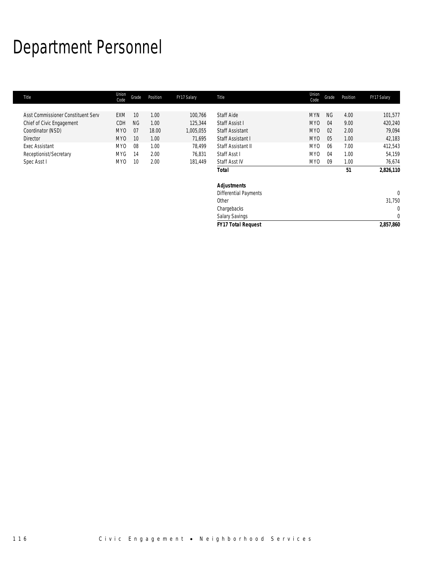# Department Personnel

| Union<br>Code   | Grade     | Position | FY17 Salary | <b>Title</b>                 | Union<br>Code   | Grade     | Position | FY17 Salary    |
|-----------------|-----------|----------|-------------|------------------------------|-----------------|-----------|----------|----------------|
|                 |           |          |             |                              |                 |           |          |                |
| <b>EXM</b>      | 10        | 1.00     | 100,766     | <b>Staff Aide</b>            | <b>MYN</b>      | <b>NG</b> | 4.00     | 101,577        |
| CDH             | <b>NG</b> | 1.00     | 125,344     | Staff Assist I               | MY <sub>0</sub> | 04        | 9.00     | 420,240        |
| MY0             | 07        | 18.00    | 1,005,055   | <b>Staff Assistant</b>       | <b>MYO</b>      | 02        | 2.00     | 79,094         |
| MY0             | 10        | 1.00     | 71,695      | Staff Assistant I            | MY <sub>0</sub> | 05        | 1.00     | 42,183         |
| MY <sub>0</sub> | 08        | 1.00     | 78,499      | Staff Assistant II           | MY <sub>0</sub> | 06        | 7.00     | 412,543        |
| <b>MYG</b>      | 14        | 2.00     | 76,831      | Staff Asst I                 | MY <sub>0</sub> | 04        | 1.00     | 54,159         |
| MY0             | 10        | 2.00     | 181,449     | Staff Asst IV                | MY <sub>0</sub> | 09        | 1.00     | 76,674         |
|                 |           |          |             | <b>Total</b>                 |                 |           | 51       | 2,826,110      |
|                 |           |          |             | <b>Adjustments</b>           |                 |           |          |                |
|                 |           |          |             | <b>Differential Payments</b> |                 |           |          | $\overline{0}$ |
|                 |           |          |             | Other                        |                 |           |          | 31,750         |
|                 |           |          |             | Chargebacks                  |                 |           |          | $\mathbf{0}$   |
|                 |           |          |             | Salary Savings               |                 |           |          | $\mathbf{0}$   |
|                 |           |          |             | <b>FY17 Total Request</b>    |                 |           |          | 2,857,860      |
|                 |           |          |             |                              |                 |           |          |                |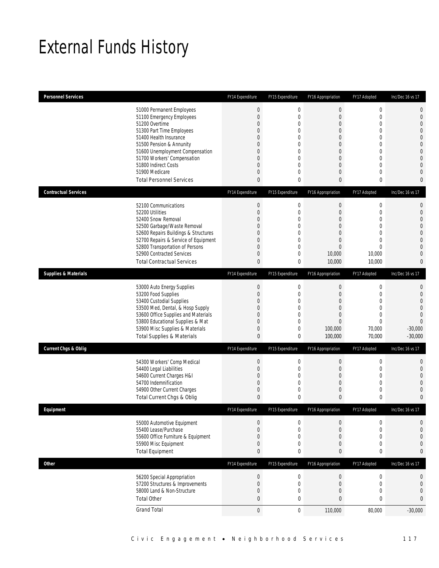## External Funds History

| <b>Personnel Services</b>       |                                                                              | FY14 Expenditure | FY15 Expenditure                 | FY16 Appropriation            | FY17 Adopted                | Inc/Dec 16 vs 17                 |
|---------------------------------|------------------------------------------------------------------------------|------------------|----------------------------------|-------------------------------|-----------------------------|----------------------------------|
|                                 | 51000 Permanent Employees                                                    | $\boldsymbol{0}$ | $\boldsymbol{0}$                 | $\boldsymbol{0}$              | $\boldsymbol{0}$            | $\mathbf 0$                      |
|                                 | 51100 Emergency Employees                                                    | $\boldsymbol{0}$ | $\mathbf 0$                      | $\overline{0}$                | $\mathbf 0$                 | $\mathbf 0$                      |
|                                 | 51200 Overtime                                                               | 0                | 0                                | $\mathbf 0$                   | $\mathbf 0$                 | $\mathbf{0}$                     |
|                                 | 51300 Part Time Employees                                                    | 0                | 0                                | $\overline{0}$                | $\mathbf{0}$                | $\mathbf 0$                      |
|                                 | 51400 Health Insurance                                                       | 0<br>0           | 0<br>$\overline{0}$              | $\overline{0}$                | $\mathbf{0}$<br>$\mathbf 0$ | $\overline{0}$<br>$\overline{0}$ |
|                                 | 51500 Pension & Annunity<br>51600 Unemployment Compensation                  | 0                | 0                                | $\mathbf 0$<br>$\overline{0}$ | $\mathbf{0}$                | $\mathbf 0$                      |
|                                 | 51700 Workers' Compensation                                                  | 0                | 0                                | $\overline{0}$                | $\mathbf{0}$                | $\mathbf{0}$                     |
|                                 | 51800 Indirect Costs                                                         | 0                | $\overline{0}$                   | $\overline{0}$                | $\mathbf{0}$                | $\overline{0}$                   |
|                                 | 51900 Medicare                                                               | 0                | 0                                | $\overline{0}$                | $\mathbf 0$                 | $\overline{0}$                   |
|                                 | <b>Total Personnel Services</b>                                              | 0                | 0                                | 0                             | $\bf{0}$                    | $\mathbf{0}$                     |
| <b>Contractual Services</b>     |                                                                              | FY14 Expenditure | FY15 Expenditure                 | FY16 Appropriation            | FY17 Adopted                | Inc/Dec 16 vs 17                 |
|                                 | 52100 Communications                                                         | $\theta$         | $\boldsymbol{0}$                 | $\boldsymbol{0}$              | $\boldsymbol{0}$            | $\mathbf 0$                      |
|                                 | 52200 Utilities                                                              | $\boldsymbol{0}$ | $\mathbf 0$                      | $\boldsymbol{0}$              | $\mathbf 0$                 | $\mathbf 0$                      |
|                                 | 52400 Snow Removal                                                           | 0                | 0                                | $\overline{0}$                | $\mathbf{0}$                | $\overline{0}$                   |
|                                 | 52500 Garbage/Waste Removal                                                  | 0                | $\overline{0}$<br>$\overline{0}$ | $\overline{0}$                | $\mathbf 0$<br>$\mathbf{0}$ | $\overline{0}$                   |
|                                 | 52600 Repairs Buildings & Structures<br>52700 Repairs & Service of Equipment | 0<br>0           | 0                                | $\overline{0}$<br>$\mathbf 0$ | $\mathbf{0}$                | $\mathbf 0$<br>$\overline{0}$    |
|                                 | 52800 Transportation of Persons                                              | 0                | $\overline{0}$                   | $\overline{0}$                | $\mathbf{0}$                | $\mathbf{0}$                     |
|                                 | 52900 Contracted Services                                                    | 0                | 0                                | 10,000                        | 10,000                      | $\overline{0}$                   |
|                                 | <b>Total Contractual Services</b>                                            | 0                | 0                                | 10,000                        | 10,000                      | $\mathbf{0}$                     |
| <b>Supplies &amp; Materials</b> |                                                                              | FY14 Expenditure | FY15 Expenditure                 | FY16 Appropriation            | FY17 Adopted                | Inc/Dec 16 vs 17                 |
|                                 | 53000 Auto Energy Supplies                                                   | $\boldsymbol{0}$ | $\mathbf 0$                      | 0                             | $\boldsymbol{0}$            | 0                                |
|                                 | 53200 Food Supplies                                                          | $\boldsymbol{0}$ | 0                                | $\boldsymbol{0}$              | $\mathbf 0$                 | $\mathbf 0$                      |
|                                 | 53400 Custodial Supplies                                                     | 0                | 0                                | $\overline{0}$                | $\mathbf{0}$                | $\overline{0}$                   |
|                                 | 53500 Med, Dental, & Hosp Supply                                             | 0                | 0                                | $\overline{0}$                | $\mathbf{0}$                | $\overline{0}$                   |
|                                 | 53600 Office Supplies and Materials                                          | 0                | $\overline{0}$                   | $\overline{0}$                | $\mathbf{0}$                | $\overline{0}$                   |
|                                 | 53800 Educational Supplies & Mat<br>53900 Misc Supplies & Materials          | 0<br>0           | 0<br>$\mathbf 0$                 | $\overline{0}$<br>100,000     | $\mathbf{0}$<br>70,000      | $\Omega$<br>$-30,000$            |
|                                 | <b>Total Supplies &amp; Materials</b>                                        | $\mathbf{0}$     | 0                                | 100,000                       | 70,000                      | $-30,000$                        |
|                                 |                                                                              |                  |                                  |                               |                             |                                  |
| <b>Current Chgs &amp; Oblig</b> |                                                                              | FY14 Expenditure | FY15 Expenditure                 | FY16 Appropriation            | FY17 Adopted                | Inc/Dec 16 vs 17                 |
|                                 | 54300 Workers' Comp Medical                                                  | $\boldsymbol{0}$ | 0                                | $\boldsymbol{0}$              | $\boldsymbol{0}$            | 0                                |
|                                 | 54400 Legal Liabilities                                                      | 0                | 0                                | $\overline{0}$                | $\mathbf 0$                 | $\mathbf{0}$                     |
|                                 | 54600 Current Charges H&I<br>54700 Indemnification                           | 0<br>0           | $\overline{0}$<br>0              | $\mathbf 0$<br>$\overline{0}$ | $\mathbf 0$<br>$\mathbf{0}$ | $\mathbf{0}$<br>$\overline{0}$   |
|                                 | 54900 Other Current Charges                                                  | 0                | 0                                | $\mathbf 0$                   | $\mathbf 0$                 | $\overline{0}$                   |
|                                 | Total Current Chgs & Oblig                                                   | 0                | 0                                | 0                             | 0                           | $\mathbf{0}$                     |
| Eauipment                       |                                                                              | FY14 Expenditure | FY15 Expenditure                 | <b>FY16 Appropriation</b>     | FY17 Adopted                | Inc/Dec 16 vs 17                 |
|                                 |                                                                              |                  |                                  |                               |                             |                                  |
|                                 | 55000 Automotive Equipment<br>55400 Lease/Purchase                           | $\mathbf 0$<br>0 | 0<br>0                           | 0<br>$\boldsymbol{0}$         | $\mathbf 0$<br>$\mathbf{0}$ | 0<br>$\mathbf{0}$                |
|                                 | 55600 Office Furniture & Equipment                                           | 0                | 0                                | $\overline{0}$                | $\mathbf{0}$                | $\mathbf{0}$                     |
|                                 | 55900 Misc Equipment                                                         | 0                | 0                                | 0                             | $\mathbf 0$                 | $\mathbf 0$                      |
|                                 | <b>Total Equipment</b>                                                       | 0                | 0                                | 0                             | $\pmb{0}$                   | $\mathbf{0}$                     |
| Other                           |                                                                              | FY14 Expenditure | FY15 Expenditure                 | FY16 Appropriation            | FY17 Adopted                | Inc/Dec 16 vs 17                 |
|                                 | 56200 Special Appropriation                                                  | $\boldsymbol{0}$ | $\boldsymbol{0}$                 | $\boldsymbol{0}$              | $\boldsymbol{0}$            | $\mathbf 0$                      |
|                                 | 57200 Structures & Improvements                                              | $\boldsymbol{0}$ | $\boldsymbol{0}$                 | $\boldsymbol{0}$              | $\boldsymbol{0}$            | $\mathbf 0$                      |
|                                 | 58000 Land & Non-Structure                                                   | 0                | 0                                | $\boldsymbol{0}$              | $\mathbf 0$                 | $\mathbf 0$                      |
|                                 |                                                                              |                  |                                  |                               |                             |                                  |
|                                 | <b>Total Other</b>                                                           | 0                | 0                                | 0                             | $\pmb{0}$                   | $\bf{0}$                         |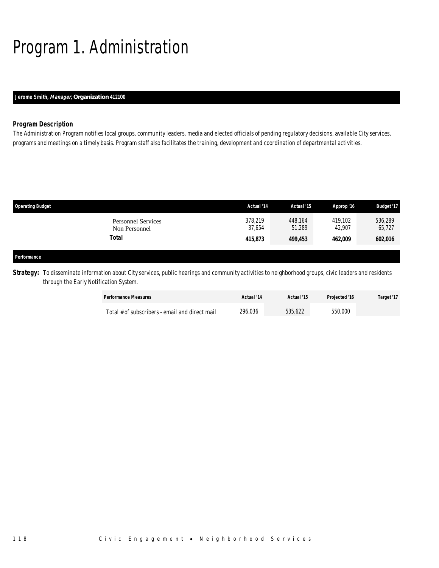# Program 1. Administration

## *Jerome Smith, Manager, Organization 412100*

## *Program Description*

The Administration Program notifies local groups, community leaders, media and elected officials of pending regulatory decisions, available City services, programs and meetings on a timely basis. Program staff also facilitates the training, development and coordination of departmental activities.

| <b>Operating Budget</b>                    | Actual '14        | Actual '15        | Approp '16        | <b>Budget '17</b> |
|--------------------------------------------|-------------------|-------------------|-------------------|-------------------|
| <b>Personnel Services</b><br>Non Personnel | 378.219<br>37,654 | 448,164<br>51,289 | 419.102<br>42.907 | 536,289<br>65,727 |
| <b>Total</b>                               | 415,873           | 499,453           | 462,009           | 602,016           |
|                                            |                   |                   |                   |                   |
| Performance                                |                   |                   |                   |                   |

Strategy: To disseminate information about City services, public hearings and community activities to neighborhood groups, civic leaders and residents through the Early Notification System.

| <b>Performance Measures</b>                    | Actual '14 | Actual '15 | <b>Projected '16</b> | Target '17 |
|------------------------------------------------|------------|------------|----------------------|------------|
| Total # of subscribers - email and direct mail | 296,036    | 535.622    | 550,000              |            |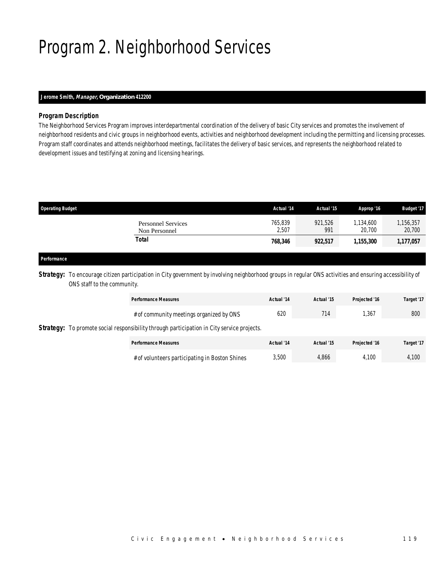# Program 2. Neighborhood Services

## *Jerome Smith, Manager, Organization 412200*

## *Program Description*

The Neighborhood Services Program improves interdepartmental coordination of the delivery of basic City services and promotes the involvement of neighborhood residents and civic groups in neighborhood events, activities and neighborhood development including the permitting and licensing processes. Program staff coordinates and attends neighborhood meetings, facilitates the delivery of basic services, and represents the neighborhood related to development issues and testifying at zoning and licensing hearings.

| <b>Operating Budget</b>                    | Actual '14       | Actual '15     | Approp '16          | <b>Budget '17</b>   |
|--------------------------------------------|------------------|----------------|---------------------|---------------------|
| <b>Personnel Services</b><br>Non Personnel | 765,839<br>2,507 | 921,526<br>991 | 1,134,600<br>20.700 | 1,156,357<br>20,700 |
| Total                                      | 768,346          | 922,517        | 1.155.300           | 1,177,057           |
|                                            |                  |                |                     |                     |

### *Performance*

**Strategy:** To encourage citizen participation in City government by involving neighborhood groups in regular ONS activities and ensuring accessibility of ONS staff to the community.

|  |                                                                                                   | <b>Performance Measures</b>                    | Actual '14 | Actual '15 | Projected '16 | Target '17 |
|--|---------------------------------------------------------------------------------------------------|------------------------------------------------|------------|------------|---------------|------------|
|  |                                                                                                   | # of community meetings organized by ONS       | 620        | 714        | .367          | 800        |
|  | <b>Strategy:</b> To promote social responsibility through participation in City service projects. |                                                |            |            |               |            |
|  |                                                                                                   | <b>Performance Measures</b>                    | Actual '14 | Actual '15 | Projected '16 | Target '17 |
|  |                                                                                                   | # of volunteers participating in Boston Shines | 3,500      | 4.866      | 4.100         | 4.100      |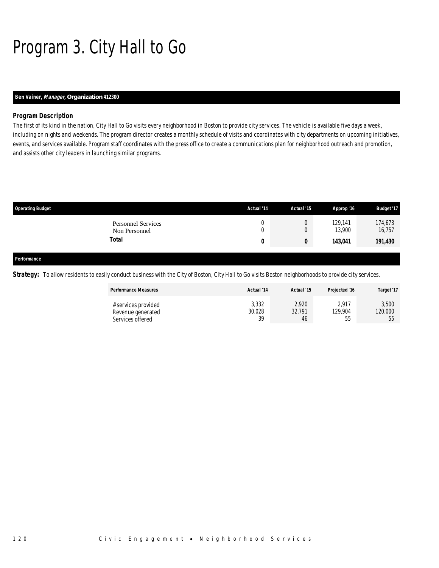# Program 3. City Hall to Go

## *Ben Vainer, Manager, Organization 412300*

## *Program Description*

The first of its kind in the nation, City Hall to Go visits every neighborhood in Boston to provide city services. The vehicle is available five days a week, including on nights and weekends. The program director creates a monthly schedule of visits and coordinates with city departments on upcoming initiatives, events, and services available. Program staff coordinates with the press office to create a communications plan for neighborhood outreach and promotion, and assists other city leaders in launching similar programs.

| <b>Operating Budget</b>                    | Actual '14 | Actual '15 | Approp '16        | <b>Budget '17</b> |
|--------------------------------------------|------------|------------|-------------------|-------------------|
| <b>Personnel Services</b><br>Non Personnel |            | 0<br>U     | 129,141<br>13.900 | 174,673<br>16,757 |
| Total                                      | 0          | 0          | 143,041           | 191,430           |
|                                            |            |            |                   |                   |
| Performance                                |            |            |                   |                   |

**Strategy:** To allow residents to easily conduct business with the City of Boston, City Hall to Go visits Boston neighborhoods to provide city services.

| <b>Performance Measures</b>                                  | Actual '14            | Actual '15            | Projected '16                | Target '17             |
|--------------------------------------------------------------|-----------------------|-----------------------|------------------------------|------------------------|
| # services provided<br>Revenue generated<br>Services offered | 3,332<br>30,028<br>39 | 2,920<br>32,791<br>46 | 2.917<br>129.904<br>hh<br>JJ | 3,500<br>120,000<br>ხხ |